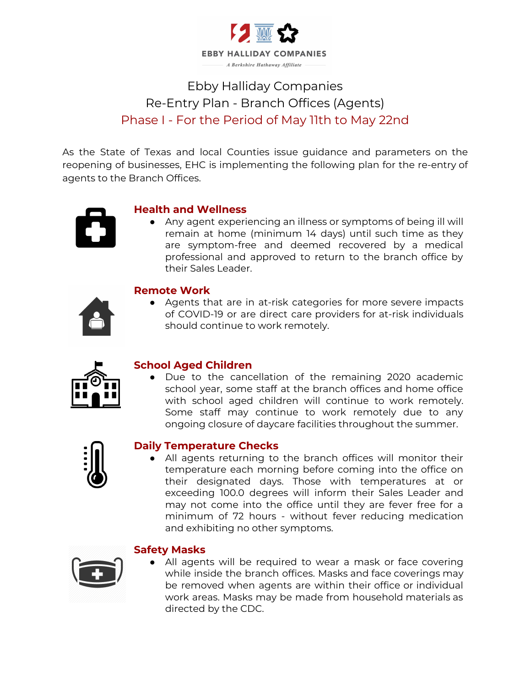

# Ebby Halliday Companies Re-Entry Plan - Branch Offices (Agents) Phase I - For the Period of May 11th to May 22nd

As the State of Texas and local Counties issue guidance and parameters on the reopening of businesses, EHC is implementing the following plan for the re-entry of agents to the Branch Offices.



# **Health and Wellness**

● Any agent experiencing an illness or symptoms of being ill will remain at home (minimum 14 days) until such time as they are symptom-free and deemed recovered by a medical professional and approved to return to the branch office by their Sales Leader.

# **Remote Work**

● Agents that are in at-risk categories for more severe impacts of COVID-19 or are direct care providers for at-risk individuals should continue to work remotely.



# **School Aged Children**

Due to the cancellation of the remaining 2020 academic school year, some staff at the branch offices and home office with school aged children will continue to work remotely. Some staff may continue to work remotely due to any ongoing closure of daycare facilities throughout the summer.



# **Daily Temperature Checks**

● All agents returning to the branch offices will monitor their temperature each morning before coming into the office on their designated days. Those with temperatures at or exceeding 100.0 degrees will inform their Sales Leader and may not come into the office until they are fever free for a minimum of 72 hours - without fever reducing medication and exhibiting no other symptoms.



### **Safety Masks**

• All agents will be required to wear a mask or face covering while inside the branch offices. Masks and face coverings may be removed when agents are within their office or individual work areas. Masks may be made from household materials as directed by the CDC.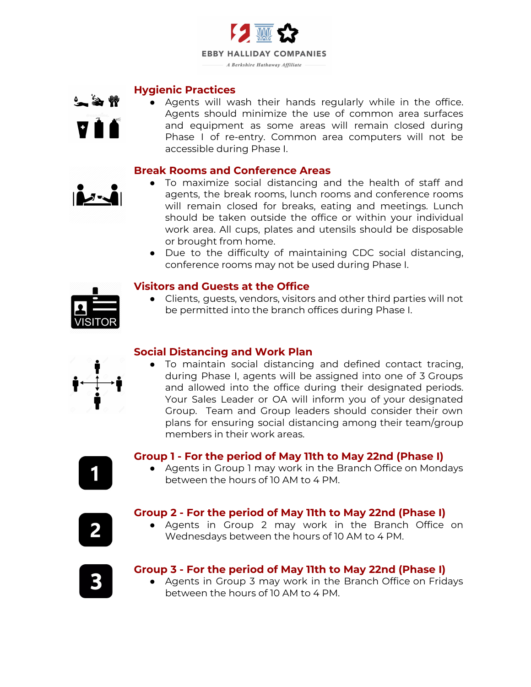

#### **Hygienic Practices**



● Agents will wash their hands regularly while in the office. Agents should minimize the use of common area surfaces and equipment as some areas will remain closed during Phase I of re-entry. Common area computers will not be accessible during Phase I.

#### **Break Rooms and Conference Areas**



- To maximize social distancing and the health of staff and agents, the break rooms, lunch rooms and conference rooms will remain closed for breaks, eating and meetings. Lunch should be taken outside the office or within your individual work area. All cups, plates and utensils should be disposable or brought from home.
- Due to the difficulty of maintaining CDC social distancing, conference rooms may not be used during Phase I.

### **Visitors and Guests at the Office**

● Clients, guests, vendors, visitors and other third parties will not be permitted into the branch offices during Phase I.

### **Social Distancing and Work Plan**

● To maintain social distancing and defined contact tracing, during Phase I, agents will be assigned into one of 3 Groups and allowed into the office during their designated periods. Your Sales Leader or OA will inform you of your designated Group. Team and Group leaders should consider their own plans for ensuring social distancing among their team/group members in their work areas.

### **Group 1 - For the period of May 11th to May 22nd (Phase I)**

● Agents in Group 1 may work in the Branch Office on Mondays between the hours of 10 AM to 4 PM.

# **Group 2 - For the period of May 11th to May 22nd (Phase I)**

● Agents in Group 2 may work in the Branch Office on Wednesdays between the hours of 10 AM to 4 PM.



2

# **Group 3 - For the period of May 11th to May 22nd (Phase I)**

● Agents in Group 3 may work in the Branch Office on Fridays between the hours of 10 AM to 4 PM.